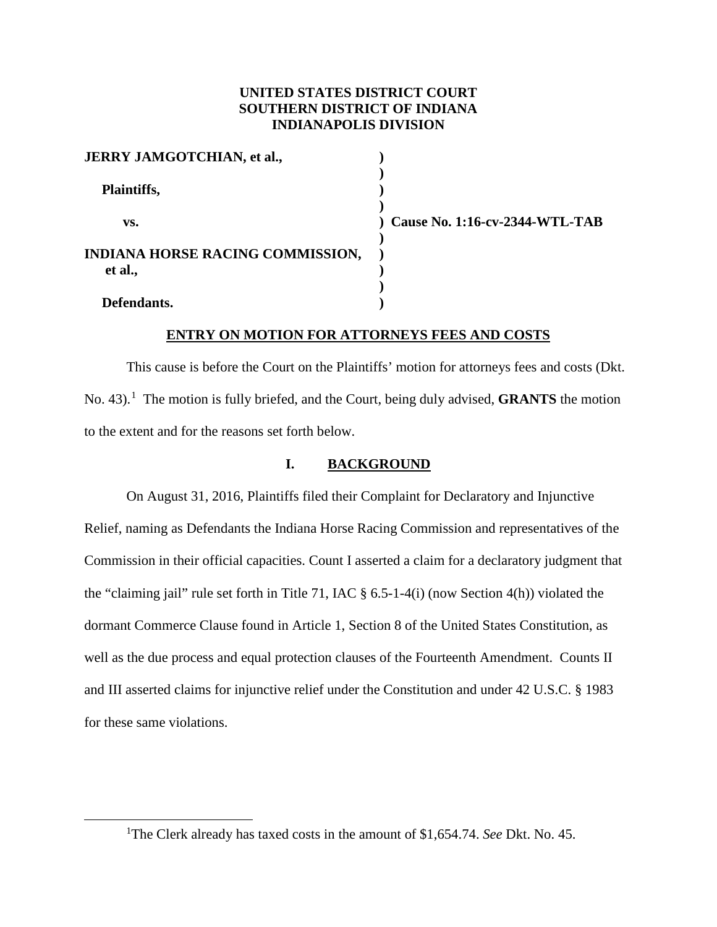## **UNITED STATES DISTRICT COURT SOUTHERN DISTRICT OF INDIANA INDIANAPOLIS DIVISION**

| <b>JERRY JAMGOTCHIAN, et al.,</b> |                |
|-----------------------------------|----------------|
| Plaintiffs,                       |                |
| VS.                               | Cause No. 1:16 |
| INDIANA HORSE RACING COMMISSION,  |                |
| et al.,                           |                |
| Defendants.                       |                |

 **vs. ) Cause No. 1:16-cv-2344-WTL-TAB**

## **ENTRY ON MOTION FOR ATTORNEYS FEES AND COSTS**

This cause is before the Court on the Plaintiffs' motion for attorneys fees and costs (Dkt. No. 43).<sup>1</sup> The motion is fully briefed, and the Court, being duly advised, **GRANTS** the motion to the extent and for the reasons set forth below.

#### **I. BACKGROUND**

On August 31, 2016, Plaintiffs filed their Complaint for Declaratory and Injunctive Relief, naming as Defendants the Indiana Horse Racing Commission and representatives of the Commission in their official capacities. Count I asserted a claim for a declaratory judgment that the "claiming jail" rule set forth in Title 71, IAC § 6.5-1-4(i) (now Section 4(h)) violated the dormant Commerce Clause found in Article 1, Section 8 of the United States Constitution, as well as the due process and equal protection clauses of the Fourteenth Amendment. Counts II and III asserted claims for injunctive relief under the Constitution and under 42 U.S.C. § 1983 for these same violations.

<sup>&</sup>lt;u>1</u> <sup>1</sup>The Clerk already has taxed costs in the amount of \$1,654.74. *See* Dkt. No. 45.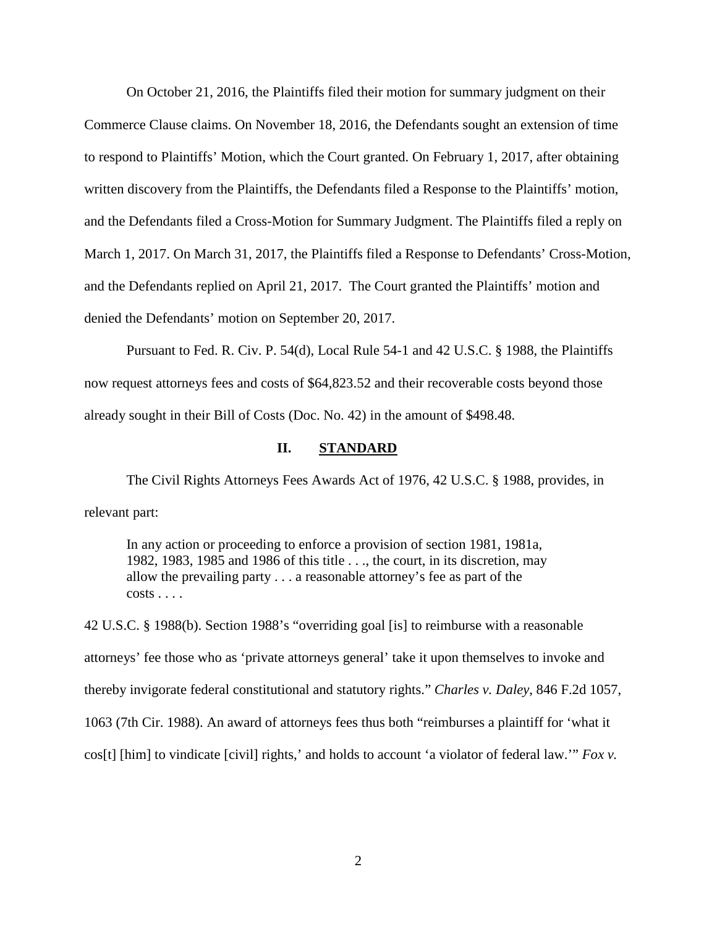On October 21, 2016, the Plaintiffs filed their motion for summary judgment on their Commerce Clause claims. On November 18, 2016, the Defendants sought an extension of time to respond to Plaintiffs' Motion, which the Court granted. On February 1, 2017, after obtaining written discovery from the Plaintiffs, the Defendants filed a Response to the Plaintiffs' motion, and the Defendants filed a Cross-Motion for Summary Judgment. The Plaintiffs filed a reply on March 1, 2017. On March 31, 2017, the Plaintiffs filed a Response to Defendants' Cross-Motion, and the Defendants replied on April 21, 2017. The Court granted the Plaintiffs' motion and denied the Defendants' motion on September 20, 2017.

Pursuant to Fed. R. Civ. P. 54(d), Local Rule 54-1 and 42 U.S.C. § 1988, the Plaintiffs now request attorneys fees and costs of \$64,823.52 and their recoverable costs beyond those already sought in their Bill of Costs (Doc. No. 42) in the amount of \$498.48.

#### **II. STANDARD**

The Civil Rights Attorneys Fees Awards Act of 1976, 42 U.S.C. § 1988, provides, in relevant part:

In any action or proceeding to enforce a provision of section 1981, 1981a, 1982, 1983, 1985 and 1986 of this title . . ., the court, in its discretion, may allow the prevailing party . . . a reasonable attorney's fee as part of the  $costs \ldots$ .

42 U.S.C. § 1988(b). Section 1988's "overriding goal [is] to reimburse with a reasonable attorneys' fee those who as 'private attorneys general' take it upon themselves to invoke and thereby invigorate federal constitutional and statutory rights." *Charles v. Daley*, 846 F.2d 1057, 1063 (7th Cir. 1988). An award of attorneys fees thus both "reimburses a plaintiff for 'what it cos[t] [him] to vindicate [civil] rights,' and holds to account 'a violator of federal law.'" *Fox v.*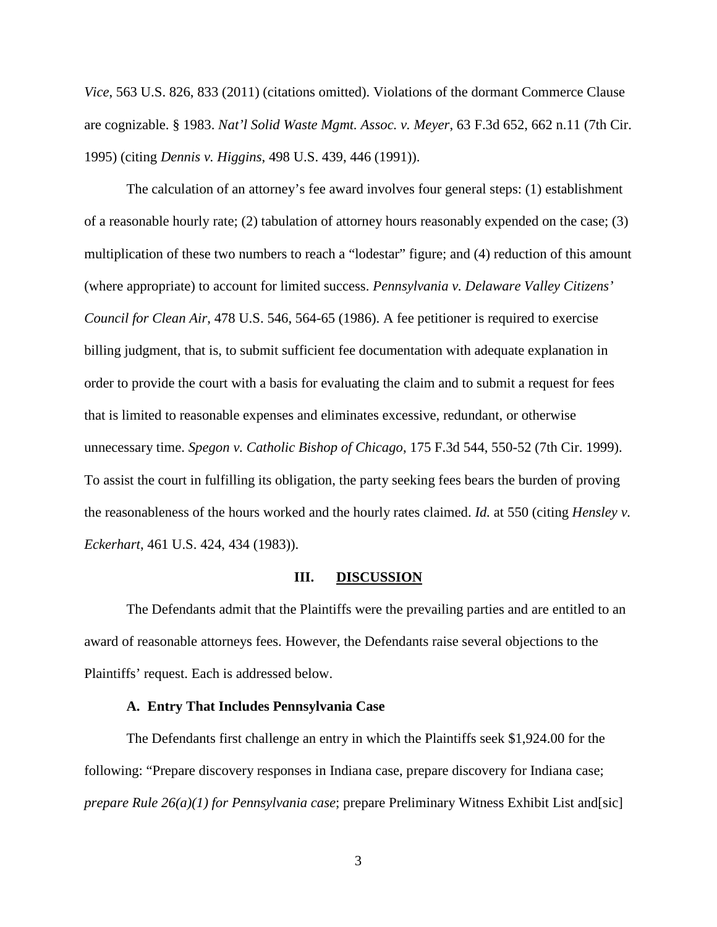*Vice*, 563 U.S. 826, 833 (2011) (citations omitted). Violations of the dormant Commerce Clause are cognizable. § 1983. *Nat'l Solid Waste Mgmt. Assoc. v. Meyer*, 63 F.3d 652, 662 n.11 (7th Cir. 1995) (citing *Dennis v. Higgins*, 498 U.S. 439, 446 (1991)).

The calculation of an attorney's fee award involves four general steps: (1) establishment of a reasonable hourly rate; (2) tabulation of attorney hours reasonably expended on the case; (3) multiplication of these two numbers to reach a "lodestar" figure; and (4) reduction of this amount (where appropriate) to account for limited success. *Pennsylvania v. Delaware Valley Citizens' Council for Clean Air*, 478 U.S. 546, 564-65 (1986). A fee petitioner is required to exercise billing judgment, that is, to submit sufficient fee documentation with adequate explanation in order to provide the court with a basis for evaluating the claim and to submit a request for fees that is limited to reasonable expenses and eliminates excessive, redundant, or otherwise unnecessary time. *Spegon v. Catholic Bishop of Chicago*, 175 F.3d 544, 550-52 (7th Cir. 1999). To assist the court in fulfilling its obligation, the party seeking fees bears the burden of proving the reasonableness of the hours worked and the hourly rates claimed. *Id.* at 550 (citing *Hensley v. Eckerhart*, 461 U.S. 424, 434 (1983)).

#### **III. DISCUSSION**

The Defendants admit that the Plaintiffs were the prevailing parties and are entitled to an award of reasonable attorneys fees. However, the Defendants raise several objections to the Plaintiffs' request. Each is addressed below.

### **A. Entry That Includes Pennsylvania Case**

The Defendants first challenge an entry in which the Plaintiffs seek \$1,924.00 for the following: "Prepare discovery responses in Indiana case, prepare discovery for Indiana case; *prepare Rule 26(a)(1) for Pennsylvania case*; prepare Preliminary Witness Exhibit List and[sic]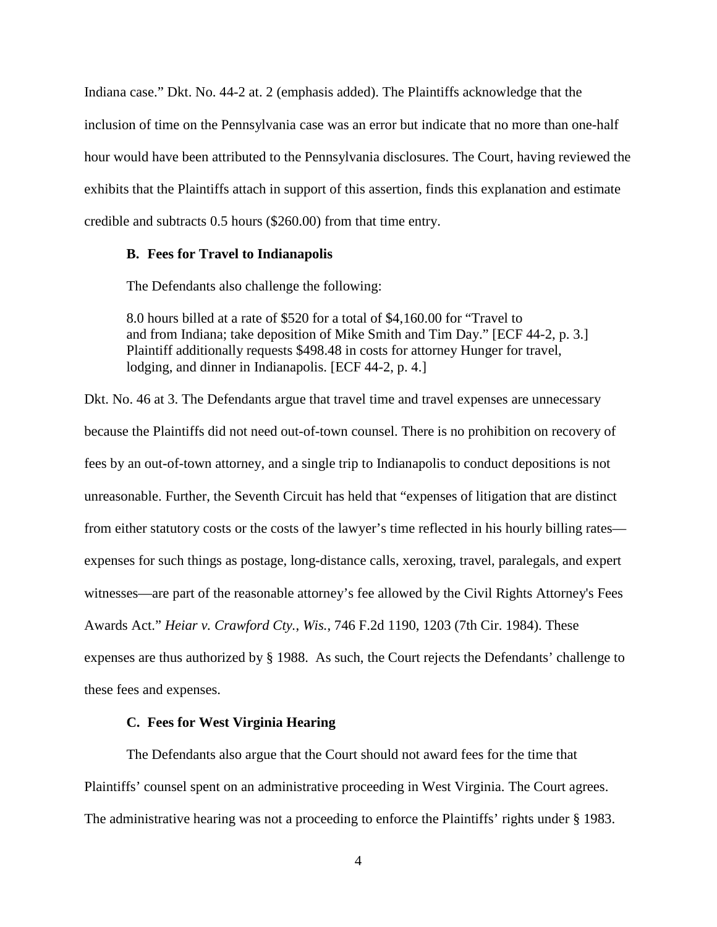Indiana case." Dkt. No. 44-2 at. 2 (emphasis added). The Plaintiffs acknowledge that the inclusion of time on the Pennsylvania case was an error but indicate that no more than one-half hour would have been attributed to the Pennsylvania disclosures. The Court, having reviewed the exhibits that the Plaintiffs attach in support of this assertion, finds this explanation and estimate credible and subtracts 0.5 hours (\$260.00) from that time entry.

#### **B. Fees for Travel to Indianapolis**

The Defendants also challenge the following:

8.0 hours billed at a rate of \$520 for a total of \$4,160.00 for "Travel to and from Indiana; take deposition of Mike Smith and Tim Day." [ECF 44-2, p. 3.] Plaintiff additionally requests \$498.48 in costs for attorney Hunger for travel, lodging, and dinner in Indianapolis. [ECF 44-2, p. 4.]

Dkt. No. 46 at 3. The Defendants argue that travel time and travel expenses are unnecessary because the Plaintiffs did not need out-of-town counsel. There is no prohibition on recovery of fees by an out-of-town attorney, and a single trip to Indianapolis to conduct depositions is not unreasonable. Further, the Seventh Circuit has held that "expenses of litigation that are distinct from either statutory costs or the costs of the lawyer's time reflected in his hourly billing rates expenses for such things as postage, long-distance calls, xeroxing, travel, paralegals, and expert witnesses—are part of the reasonable attorney's fee allowed by the Civil Rights Attorney's Fees Awards Act." *Heiar v. Crawford Cty.*, *Wis.*, 746 F.2d 1190, 1203 (7th Cir. 1984). These expenses are thus authorized by § 1988. As such, the Court rejects the Defendants' challenge to these fees and expenses.

### **C. Fees for West Virginia Hearing**

The Defendants also argue that the Court should not award fees for the time that Plaintiffs' counsel spent on an administrative proceeding in West Virginia. The Court agrees. The administrative hearing was not a proceeding to enforce the Plaintiffs' rights under § 1983.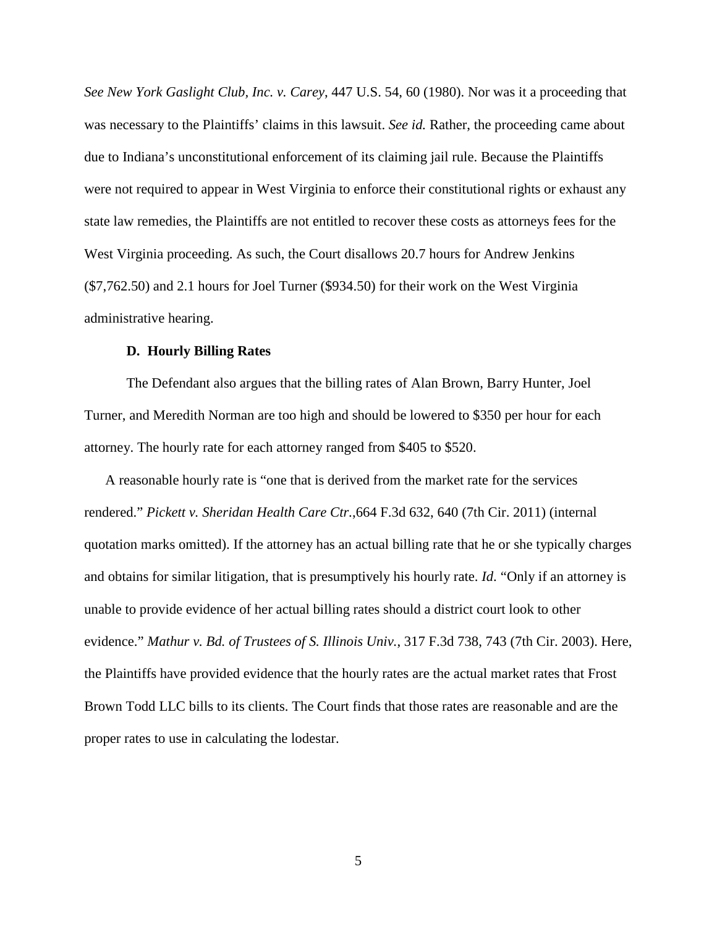*See New York Gaslight Club, Inc. v. Carey*, 447 U.S. 54, 60 (1980). Nor was it a proceeding that was necessary to the Plaintiffs' claims in this lawsuit. *See id.* Rather, the proceeding came about due to Indiana's unconstitutional enforcement of its claiming jail rule. Because the Plaintiffs were not required to appear in West Virginia to enforce their constitutional rights or exhaust any state law remedies, the Plaintiffs are not entitled to recover these costs as attorneys fees for the West Virginia proceeding. As such, the Court disallows 20.7 hours for Andrew Jenkins (\$7,762.50) and 2.1 hours for Joel Turner (\$934.50) for their work on the West Virginia administrative hearing.

#### **D. Hourly Billing Rates**

The Defendant also argues that the billing rates of Alan Brown, Barry Hunter, Joel Turner, and Meredith Norman are too high and should be lowered to \$350 per hour for each attorney. The hourly rate for each attorney ranged from \$405 to \$520.

A reasonable hourly rate is "one that is derived from the market rate for the services rendered." *Pickett v. Sheridan Health Care Ctr.*,664 F.3d 632, 640 (7th Cir. 2011) (internal quotation marks omitted). If the attorney has an actual billing rate that he or she typically charges and obtains for similar litigation, that is presumptively his hourly rate. *Id*. "Only if an attorney is unable to provide evidence of her actual billing rates should a district court look to other evidence." *Mathur v. Bd. of Trustees of S. Illinois Univ.*, 317 F.3d 738, 743 (7th Cir. 2003). Here, the Plaintiffs have provided evidence that the hourly rates are the actual market rates that Frost Brown Todd LLC bills to its clients. The Court finds that those rates are reasonable and are the proper rates to use in calculating the lodestar.

5